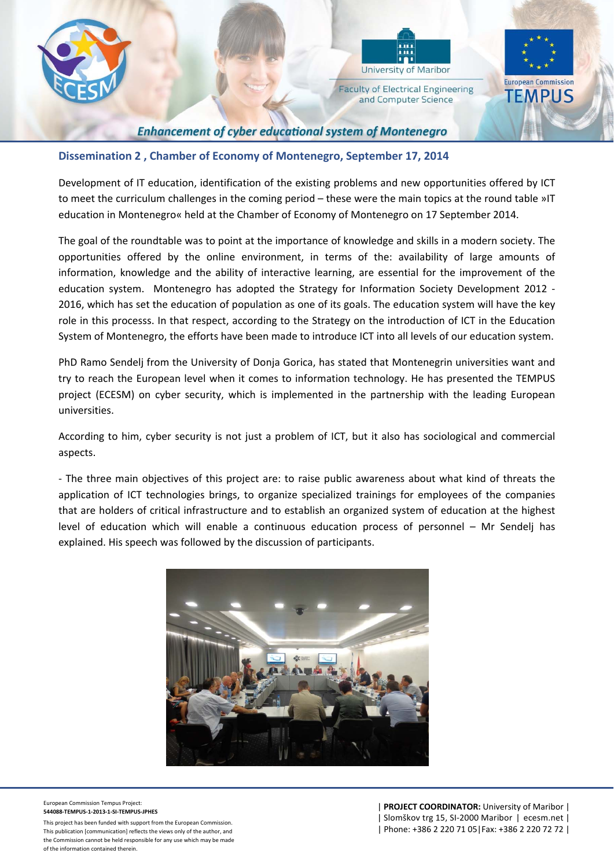



**Faculty of Electrical Engineering** and Computer Science



## **Enhancement of cyber educational system of Montenegro**

## **Dissemination 2 , Chamber of Economy of Montenegro, September 17, 2014**

Development of IT education, identification of the existing problems and new opportunities offered by ICT to meet the curriculum challenges in the coming period – these were the main topics at the round table »IT education in Montenegro« held at the Chamber of Economy of Montenegro on 17 September 2014.

The goal of the roundtable was to point at the importance of knowledge and skills in a modern society. The opportunities offered by the online environment, in terms of the: availability of large amounts of information, knowledge and the ability of interactive learning, are essential for the improvement of the education system. Montenegro has adopted the Strategy for Information Society Development 2012 -2016, which has set the education of population as one of its goals. The education system will have the key role in this processs. In that respect, according to the Strategy on the introduction of ICT in the Education System of Montenegro, the efforts have been made to introduce ICT into all levels of our education system.

PhD Ramo Sendelj from the University of Donja Gorica, has stated that Montenegrin universities want and try to reach the European level when it comes to information technology. He has presented the TEMPUS project (ECESM) on cyber security, which is implemented in the partnership with the leading European universities.

According to him, cyber security is not just a problem of ICT, but it also has sociological and commercial aspects.

‐ The three main objectives of this project are: to raise public awareness about what kind of threats the application of ICT technologies brings, to organize specialized trainings for employees of the companies that are holders of critical infrastructure and to establish an organized system of education at the highest level of education which will enable a continuous education process of personnel – Mr Sendelj has explained. His speech was followed by the discussion of participants.



European Commission Tempus Project: **544088‐TEMPUS‐1‐2013‐1‐SI‐TEMPUS‐JPHES**

This project has been funded with support from the European Commission. This publication [communication] reflects the views only of the author, and the Commission cannot be held responsible for any use which may be made of the information contained therein.